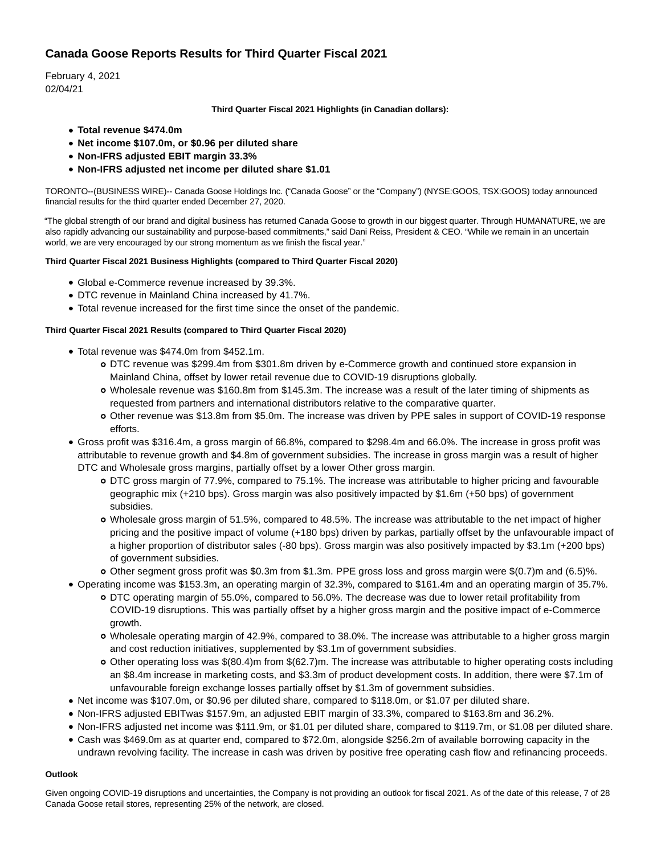# **Canada Goose Reports Results for Third Quarter Fiscal 2021**

February 4, 2021 02/04/21

## **Third Quarter Fiscal 2021 Highlights (in Canadian dollars):**

- **Total revenue \$474.0m**
- **Net income \$107.0m, or \$0.96 per diluted share**
- **Non-IFRS adjusted EBIT margin 33.3%**
- **Non-IFRS adjusted net income per diluted share \$1.01**

TORONTO--(BUSINESS WIRE)-- Canada Goose Holdings Inc. ("Canada Goose" or the "Company") (NYSE:GOOS, TSX:GOOS) today announced financial results for the third quarter ended December 27, 2020.

"The global strength of our brand and digital business has returned Canada Goose to growth in our biggest quarter. Through HUMANATURE, we are also rapidly advancing our sustainability and purpose-based commitments," said Dani Reiss, President & CEO. "While we remain in an uncertain world, we are very encouraged by our strong momentum as we finish the fiscal year."

## **Third Quarter Fiscal 2021 Business Highlights (compared to Third Quarter Fiscal 2020)**

- Global e-Commerce revenue increased by 39.3%.
- DTC revenue in Mainland China increased by 41.7%.
- Total revenue increased for the first time since the onset of the pandemic.

# **Third Quarter Fiscal 2021 Results (compared to Third Quarter Fiscal 2020)**

- Total revenue was \$474.0m from \$452.1m.
	- DTC revenue was \$299.4m from \$301.8m driven by e-Commerce growth and continued store expansion in Mainland China, offset by lower retail revenue due to COVID-19 disruptions globally.
	- Wholesale revenue was \$160.8m from \$145.3m. The increase was a result of the later timing of shipments as requested from partners and international distributors relative to the comparative quarter.
	- Other revenue was \$13.8m from \$5.0m. The increase was driven by PPE sales in support of COVID-19 response efforts.
- Gross profit was \$316.4m, a gross margin of 66.8%, compared to \$298.4m and 66.0%. The increase in gross profit was attributable to revenue growth and \$4.8m of government subsidies. The increase in gross margin was a result of higher DTC and Wholesale gross margins, partially offset by a lower Other gross margin.
	- DTC gross margin of 77.9%, compared to 75.1%. The increase was attributable to higher pricing and favourable geographic mix (+210 bps). Gross margin was also positively impacted by \$1.6m (+50 bps) of government subsidies.
	- Wholesale gross margin of 51.5%, compared to 48.5%. The increase was attributable to the net impact of higher pricing and the positive impact of volume (+180 bps) driven by parkas, partially offset by the unfavourable impact of a higher proportion of distributor sales (-80 bps). Gross margin was also positively impacted by \$3.1m (+200 bps) of government subsidies.
	- Other segment gross profit was \$0.3m from \$1.3m. PPE gross loss and gross margin were \$(0.7)m and (6.5)%.
- Operating income was \$153.3m, an operating margin of 32.3%, compared to \$161.4m and an operating margin of 35.7%.
	- DTC operating margin of 55.0%, compared to 56.0%. The decrease was due to lower retail profitability from COVID-19 disruptions. This was partially offset by a higher gross margin and the positive impact of e-Commerce growth.
	- Wholesale operating margin of 42.9%, compared to 38.0%. The increase was attributable to a higher gross margin and cost reduction initiatives, supplemented by \$3.1m of government subsidies.
	- Other operating loss was \$(80.4)m from \$(62.7)m. The increase was attributable to higher operating costs including an \$8.4m increase in marketing costs, and \$3.3m of product development costs. In addition, there were \$7.1m of unfavourable foreign exchange losses partially offset by \$1.3m of government subsidies.
- Net income was \$107.0m, or \$0.96 per diluted share, compared to \$118.0m, or \$1.07 per diluted share.
- Non-IFRS adjusted EBITwas \$157.9m, an adjusted EBIT margin of 33.3%, compared to \$163.8m and 36.2%.
- Non-IFRS adjusted net income was \$111.9m, or \$1.01 per diluted share, compared to \$119.7m, or \$1.08 per diluted share.
- Cash was \$469.0m as at quarter end, compared to \$72.0m, alongside \$256.2m of available borrowing capacity in the undrawn revolving facility. The increase in cash was driven by positive free operating cash flow and refinancing proceeds.

# **Outlook**

Given ongoing COVID-19 disruptions and uncertainties, the Company is not providing an outlook for fiscal 2021. As of the date of this release, 7 of 28 Canada Goose retail stores, representing 25% of the network, are closed.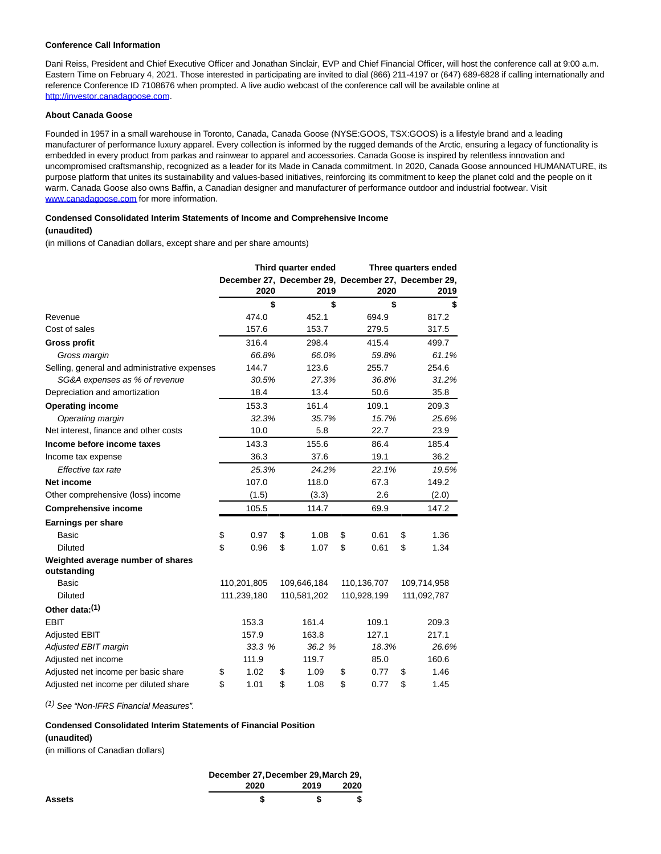#### **Conference Call Information**

Dani Reiss, President and Chief Executive Officer and Jonathan Sinclair, EVP and Chief Financial Officer, will host the conference call at 9:00 a.m. Eastern Time on February 4, 2021. Those interested in participating are invited to dial (866) 211-4197 or (647) 689-6828 if calling internationally and reference Conference ID 7108676 when prompted. A live audio webcast of the conference call will be available online at [http://investor.canadagoose.com.](https://cts.businesswire.com/ct/CT?id=smartlink&url=http%3A%2F%2Finvestor.canadagoose.com&esheet=52373783&newsitemid=20210204005449&lan=en-US&anchor=http%3A%2F%2Finvestor.canadagoose.com&index=1&md5=15cfa55a48bbb1ecc4ab38c6190c6a09)

#### **About Canada Goose**

Founded in 1957 in a small warehouse in Toronto, Canada, Canada Goose (NYSE:GOOS, TSX:GOOS) is a lifestyle brand and a leading manufacturer of performance luxury apparel. Every collection is informed by the rugged demands of the Arctic, ensuring a legacy of functionality is embedded in every product from parkas and rainwear to apparel and accessories. Canada Goose is inspired by relentless innovation and uncompromised craftsmanship, recognized as a leader for its Made in Canada commitment. In 2020, Canada Goose announced HUMANATURE, its purpose platform that unites its sustainability and values-based initiatives, reinforcing its commitment to keep the planet cold and the people on it warm. Canada Goose also owns Baffin, a Canadian designer and manufacturer of performance outdoor and industrial footwear. Visit [www.canadagoose.com f](https://cts.businesswire.com/ct/CT?id=smartlink&url=http%3A%2F%2Fwww.canadagoose.com&esheet=52373783&newsitemid=20210204005449&lan=en-US&anchor=www.canadagoose.com&index=2&md5=9b6b7258c14d6a0d9f577b543e369a69)or more information.

## **Condensed Consolidated Interim Statements of Income and Comprehensive Income**

# **(unaudited)**

(in millions of Canadian dollars, except share and per share amounts)

|                                                  | Third quarter ended |             |    | Three quarters ended |                                                             |    |             |
|--------------------------------------------------|---------------------|-------------|----|----------------------|-------------------------------------------------------------|----|-------------|
|                                                  |                     | 2020        |    | 2019                 | December 27, December 29, December 27, December 29,<br>2020 |    | 2019        |
|                                                  |                     | \$          |    | \$                   | \$                                                          |    | S           |
| Revenue                                          |                     | 474.0       |    | 452.1                | 694.9                                                       |    | 817.2       |
| Cost of sales                                    |                     | 157.6       |    | 153.7                | 279.5                                                       |    | 317.5       |
| <b>Gross profit</b>                              |                     | 316.4       |    | 298.4                | 415.4                                                       |    | 499.7       |
| Gross margin                                     |                     | 66.8%       |    | 66.0%                | 59.8%                                                       |    | 61.1%       |
| Selling, general and administrative expenses     |                     | 144.7       |    | 123.6                | 255.7                                                       |    | 254.6       |
| SG&A expenses as % of revenue                    |                     | 30.5%       |    | 27.3%                | 36.8%                                                       |    | 31.2%       |
| Depreciation and amortization                    |                     | 18.4        |    | 13.4                 | 50.6                                                        |    | 35.8        |
| <b>Operating income</b>                          |                     | 153.3       |    | 161.4                | 109.1                                                       |    | 209.3       |
| Operating margin                                 |                     | 32.3%       |    | 35.7%                | 15.7%                                                       |    | 25.6%       |
| Net interest, finance and other costs            |                     | 10.0        |    | 5.8                  | 22.7                                                        |    | 23.9        |
| Income before income taxes                       |                     | 143.3       |    | 155.6                | 86.4                                                        |    | 185.4       |
| Income tax expense                               |                     | 36.3        |    | 37.6                 | 19.1                                                        |    | 36.2        |
| Effective tax rate                               |                     | 25.3%       |    | 24.2%                | 22.1%                                                       |    | 19.5%       |
| <b>Net income</b>                                |                     | 107.0       |    | 118.0                | 67.3                                                        |    | 149.2       |
| Other comprehensive (loss) income                |                     | (1.5)       |    | (3.3)                | 2.6                                                         |    | (2.0)       |
| <b>Comprehensive income</b>                      |                     | 105.5       |    | 114.7                | 69.9                                                        |    | 147.2       |
| Earnings per share                               |                     |             |    |                      |                                                             |    |             |
| <b>Basic</b>                                     | \$                  | 0.97        | \$ | 1.08                 | \$<br>0.61                                                  | \$ | 1.36        |
| <b>Diluted</b>                                   | \$                  | 0.96        | \$ | 1.07                 | \$<br>0.61                                                  | \$ | 1.34        |
| Weighted average number of shares<br>outstanding |                     |             |    |                      |                                                             |    |             |
| Basic                                            |                     | 110,201,805 |    | 109,646,184          | 110,136,707                                                 |    | 109,714,958 |
| <b>Diluted</b>                                   |                     | 111,239,180 |    | 110,581,202          | 110,928,199                                                 |    | 111,092,787 |
| Other data:(1)                                   |                     |             |    |                      |                                                             |    |             |
| <b>EBIT</b>                                      |                     | 153.3       |    | 161.4                | 109.1                                                       |    | 209.3       |
| <b>Adjusted EBIT</b>                             |                     | 157.9       |    | 163.8                | 127.1                                                       |    | 217.1       |
| Adjusted EBIT margin                             |                     | 33.3 %      |    | 36.2 %               | 18.3%                                                       |    | 26.6%       |
| Adjusted net income                              |                     | 111.9       |    | 119.7                | 85.0                                                        |    | 160.6       |
| Adjusted net income per basic share              | \$                  | 1.02        | \$ | 1.09                 | \$<br>0.77                                                  | \$ | 1.46        |
| Adjusted net income per diluted share            | \$                  | 1.01        | \$ | 1.08                 | \$<br>0.77                                                  | \$ | 1.45        |

(1) See "Non-IFRS Financial Measures".

# **Condensed Consolidated Interim Statements of Financial Position (unaudited)**

(in millions of Canadian dollars)

|      | December 27, December 29, March 29, |      |  |  |  |
|------|-------------------------------------|------|--|--|--|
| 2020 | 2019                                | 2020 |  |  |  |
|      |                                     |      |  |  |  |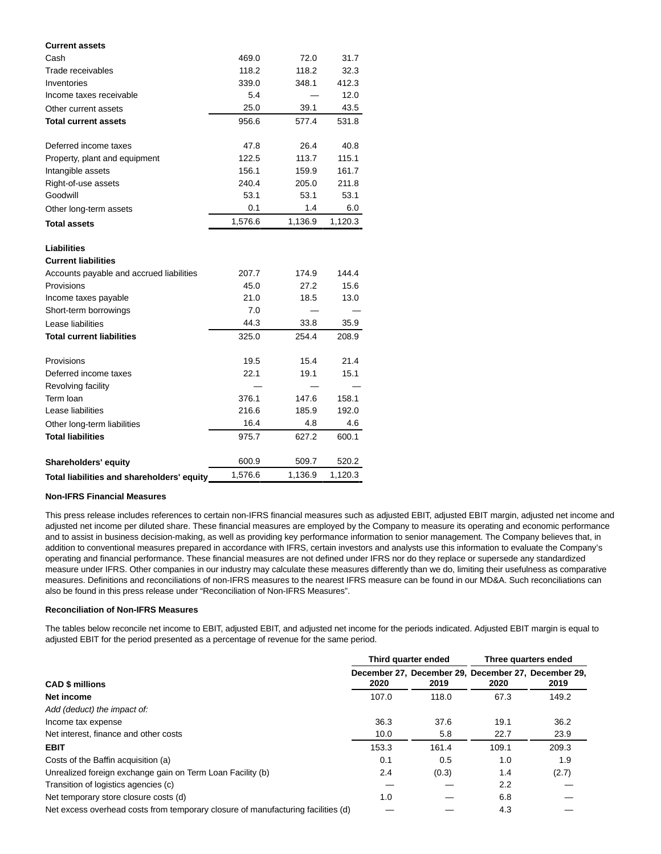| <b>Current assets</b>                            |         |         |         |
|--------------------------------------------------|---------|---------|---------|
| Cash                                             | 469.0   | 72.0    | 31.7    |
| Trade receivables                                | 118.2   | 118.2   | 32.3    |
| Inventories                                      | 339.0   | 348.1   | 412.3   |
| Income taxes receivable                          | 5.4     |         | 12.0    |
| Other current assets                             | 25.0    | 39.1    | 43.5    |
| <b>Total current assets</b>                      | 956.6   | 577.4   | 531.8   |
| Deferred income taxes                            | 47.8    | 26.4    | 40.8    |
| Property, plant and equipment                    | 122.5   | 113.7   | 115.1   |
| Intangible assets                                | 156.1   | 159.9   | 161.7   |
| Right-of-use assets                              | 240.4   | 205.0   | 211.8   |
| Goodwill                                         | 53.1    | 53.1    | 53.1    |
| Other long-term assets                           | 0.1     | 1.4     | 6.0     |
| <b>Total assets</b>                              | 1,576.6 | 1,136.9 | 1,120.3 |
| <b>Liabilities</b><br><b>Current liabilities</b> |         |         |         |
| Accounts payable and accrued liabilities         | 207.7   | 174.9   | 144.4   |
| Provisions                                       | 45.0    | 27.2    | 15.6    |
| Income taxes payable                             | 21.0    | 18.5    | 13.0    |
| Short-term borrowings                            | 7.0     |         |         |
| Lease liabilities                                | 44.3    | 33.8    | 35.9    |
| <b>Total current liabilities</b>                 | 325.0   | 254.4   | 208.9   |
| Provisions                                       | 19.5    | 15.4    | 21.4    |
| Deferred income taxes                            | 22.1    | 19.1    | 15.1    |
| Revolving facility                               |         |         |         |
| Term loan                                        | 376.1   | 147.6   | 158.1   |
| Lease liabilities                                | 216.6   | 185.9   | 192.0   |
| Other long-term liabilities                      | 16.4    | 4.8     | 4.6     |
| <b>Total liabilities</b>                         | 975.7   | 627.2   | 600.1   |
| Shareholders' equity                             | 600.9   | 509.7   | 520.2   |
| Total liabilities and shareholders' equity       | 1,576.6 | 1,136.9 | 1,120.3 |

### **Non-IFRS Financial Measures**

This press release includes references to certain non-IFRS financial measures such as adjusted EBIT, adjusted EBIT margin, adjusted net income and adjusted net income per diluted share. These financial measures are employed by the Company to measure its operating and economic performance and to assist in business decision-making, as well as providing key performance information to senior management. The Company believes that, in addition to conventional measures prepared in accordance with IFRS, certain investors and analysts use this information to evaluate the Company's operating and financial performance. These financial measures are not defined under IFRS nor do they replace or supersede any standardized measure under IFRS. Other companies in our industry may calculate these measures differently than we do, limiting their usefulness as comparative measures. Definitions and reconciliations of non-IFRS measures to the nearest IFRS measure can be found in our MD&A. Such reconciliations can also be found in this press release under "Reconciliation of Non-IFRS Measures".

#### **Reconciliation of Non-IFRS Measures**

The tables below reconcile net income to EBIT, adjusted EBIT, and adjusted net income for the periods indicated. Adjusted EBIT margin is equal to adjusted EBIT for the period presented as a percentage of revenue for the same period.

|                                                                                  |       | Third quarter ended | Three quarters ended |                                                             |  |
|----------------------------------------------------------------------------------|-------|---------------------|----------------------|-------------------------------------------------------------|--|
| <b>CAD \$ millions</b>                                                           | 2020  | 2019                | 2020                 | December 27. December 29. December 27. December 29.<br>2019 |  |
| Net income                                                                       | 107.0 | 118.0               | 67.3                 | 149.2                                                       |  |
| Add (deduct) the impact of:                                                      |       |                     |                      |                                                             |  |
| Income tax expense                                                               | 36.3  | 37.6                | 19.1                 | 36.2                                                        |  |
| Net interest, finance and other costs                                            | 10.0  | 5.8                 | 22.7                 | 23.9                                                        |  |
| <b>EBIT</b>                                                                      | 153.3 | 161.4               | 109.1                | 209.3                                                       |  |
| Costs of the Baffin acquisition (a)                                              | 0.1   | 0.5                 | 1.0                  | 1.9                                                         |  |
| Unrealized foreign exchange gain on Term Loan Facility (b)                       | 2.4   | (0.3)               | 1.4                  | (2.7)                                                       |  |
| Transition of logistics agencies (c)                                             |       |                     | $2.2^{\circ}$        |                                                             |  |
| Net temporary store closure costs (d)                                            | 1.0   |                     | 6.8                  |                                                             |  |
| Net excess overhead costs from temporary closure of manufacturing facilities (d) |       |                     | 4.3                  |                                                             |  |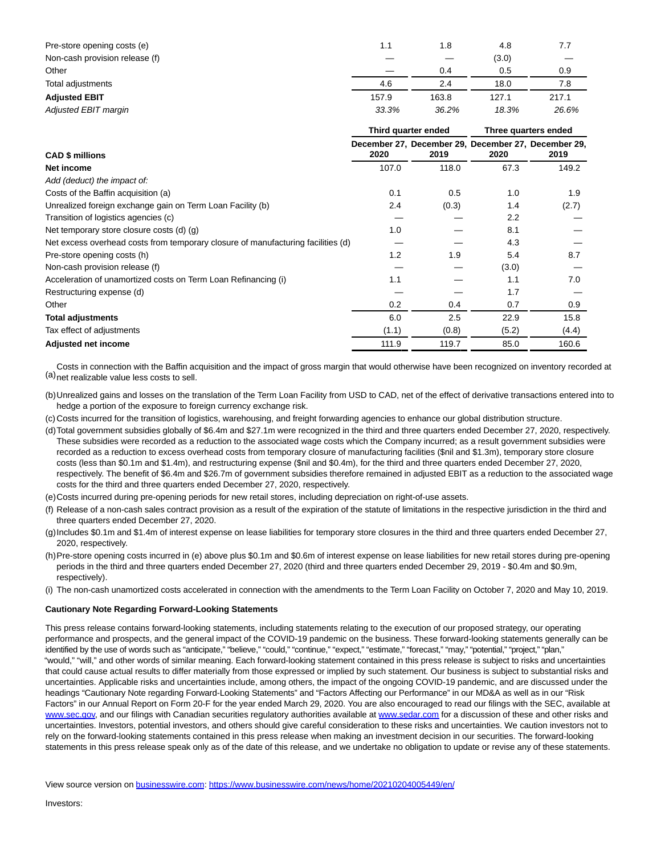| Pre-store opening costs (e)    | 1.1   | 1.8   | 4.8   | 7.7   |
|--------------------------------|-------|-------|-------|-------|
| Non-cash provision release (f) |       |       | (3.0) |       |
| Other                          |       | 0.4   | 0.5   | 0.9   |
| Total adjustments              | 4.6   | 2.4   | 18.0  | 7.8   |
| <b>Adjusted EBIT</b>           | 157.9 | 163.8 | 127.1 | 217.1 |
| Adiusted EBIT margin           | 33.3% | 36.2% | 18.3% | 26.6% |

|                                                                                  |       | Third quarter ended | Three quarters ended |                                                             |  |
|----------------------------------------------------------------------------------|-------|---------------------|----------------------|-------------------------------------------------------------|--|
| <b>CAD \$ millions</b>                                                           | 2020  | 2019                | 2020                 | December 27, December 29, December 27, December 29,<br>2019 |  |
| Net income                                                                       | 107.0 | 118.0               | 67.3                 | 149.2                                                       |  |
| Add (deduct) the impact of:                                                      |       |                     |                      |                                                             |  |
| Costs of the Baffin acquisition (a)                                              | 0.1   | 0.5                 | 1.0                  | 1.9                                                         |  |
| Unrealized foreign exchange gain on Term Loan Facility (b)                       | 2.4   | (0.3)               | 1.4                  | (2.7)                                                       |  |
| Transition of logistics agencies (c)                                             |       |                     | 2.2                  |                                                             |  |
| Net temporary store closure costs (d) (g)                                        | 1.0   |                     | 8.1                  |                                                             |  |
| Net excess overhead costs from temporary closure of manufacturing facilities (d) |       |                     | 4.3                  |                                                             |  |
| Pre-store opening costs (h)                                                      | 1.2   | 1.9                 | 5.4                  | 8.7                                                         |  |
| Non-cash provision release (f)                                                   |       |                     | (3.0)                |                                                             |  |
| Acceleration of unamortized costs on Term Loan Refinancing (i)                   | 1.1   |                     | 1.1                  | 7.0                                                         |  |
| Restructuring expense (d)                                                        |       |                     | 1.7                  |                                                             |  |
| Other                                                                            | 0.2   | 0.4                 | 0.7                  | 0.9                                                         |  |
| <b>Total adjustments</b>                                                         | 6.0   | 2.5                 | 22.9                 | 15.8                                                        |  |
| Tax effect of adjustments                                                        | (1.1) | (0.8)               | (5.2)                | (4.4)                                                       |  |
| <b>Adjusted net income</b>                                                       | 111.9 | 119.7               | 85.0                 | 160.6                                                       |  |

(a) net realizable value less costs to sell. Costs in connection with the Baffin acquisition and the impact of gross margin that would otherwise have been recognized on inventory recorded at

- (b)Unrealized gains and losses on the translation of the Term Loan Facility from USD to CAD, net of the effect of derivative transactions entered into to hedge a portion of the exposure to foreign currency exchange risk.
- (c) Costs incurred for the transition of logistics, warehousing, and freight forwarding agencies to enhance our global distribution structure.
- (d)Total government subsidies globally of \$6.4m and \$27.1m were recognized in the third and three quarters ended December 27, 2020, respectively. These subsidies were recorded as a reduction to the associated wage costs which the Company incurred; as a result government subsidies were recorded as a reduction to excess overhead costs from temporary closure of manufacturing facilities (\$nil and \$1.3m), temporary store closure costs (less than \$0.1m and \$1.4m), and restructuring expense (\$nil and \$0.4m), for the third and three quarters ended December 27, 2020, respectively. The benefit of \$6.4m and \$26.7m of government subsidies therefore remained in adjusted EBIT as a reduction to the associated wage costs for the third and three quarters ended December 27, 2020, respectively.
- (e)Costs incurred during pre-opening periods for new retail stores, including depreciation on right-of-use assets.
- (f) Release of a non-cash sales contract provision as a result of the expiration of the statute of limitations in the respective jurisdiction in the third and three quarters ended December 27, 2020.
- (g)Includes \$0.1m and \$1.4m of interest expense on lease liabilities for temporary store closures in the third and three quarters ended December 27, 2020, respectively.
- (h)Pre-store opening costs incurred in (e) above plus \$0.1m and \$0.6m of interest expense on lease liabilities for new retail stores during pre-opening periods in the third and three quarters ended December 27, 2020 (third and three quarters ended December 29, 2019 - \$0.4m and \$0.9m, respectively).
- (i) The non-cash unamortized costs accelerated in connection with the amendments to the Term Loan Facility on October 7, 2020 and May 10, 2019.

#### **Cautionary Note Regarding Forward-Looking Statements**

This press release contains forward-looking statements, including statements relating to the execution of our proposed strategy, our operating performance and prospects, and the general impact of the COVID-19 pandemic on the business. These forward-looking statements generally can be identified by the use of words such as "anticipate," "believe," "could," "continue," "expect," "estimate," "forecast," "may," "potential," "project," "plan," "would," "will," and other words of similar meaning. Each forward-looking statement contained in this press release is subject to risks and uncertainties that could cause actual results to differ materially from those expressed or implied by such statement. Our business is subject to substantial risks and uncertainties. Applicable risks and uncertainties include, among others, the impact of the ongoing COVID-19 pandemic, and are discussed under the headings "Cautionary Note regarding Forward-Looking Statements" and "Factors Affecting our Performance" in our MD&A as well as in our "Risk Factors" in our Annual Report on Form 20-F for the year ended March 29, 2020. You are also encouraged to read our filings with the SEC, available at [www.sec.gov,](https://cts.businesswire.com/ct/CT?id=smartlink&url=http%3A%2F%2Fwww.sec.gov&esheet=52373783&newsitemid=20210204005449&lan=en-US&anchor=www.sec.gov&index=3&md5=29f5defffe5e0626365d8a5cc5ff192f) and our filings with Canadian securities regulatory authorities available at [www.sedar.com f](https://cts.businesswire.com/ct/CT?id=smartlink&url=http%3A%2F%2Fwww.sedar.com&esheet=52373783&newsitemid=20210204005449&lan=en-US&anchor=www.sedar.com&index=4&md5=895eff38f06f8e83841c49fe9031280a)or a discussion of these and other risks and uncertainties. Investors, potential investors, and others should give careful consideration to these risks and uncertainties. We caution investors not to rely on the forward-looking statements contained in this press release when making an investment decision in our securities. The forward-looking statements in this press release speak only as of the date of this release, and we undertake no obligation to update or revise any of these statements.